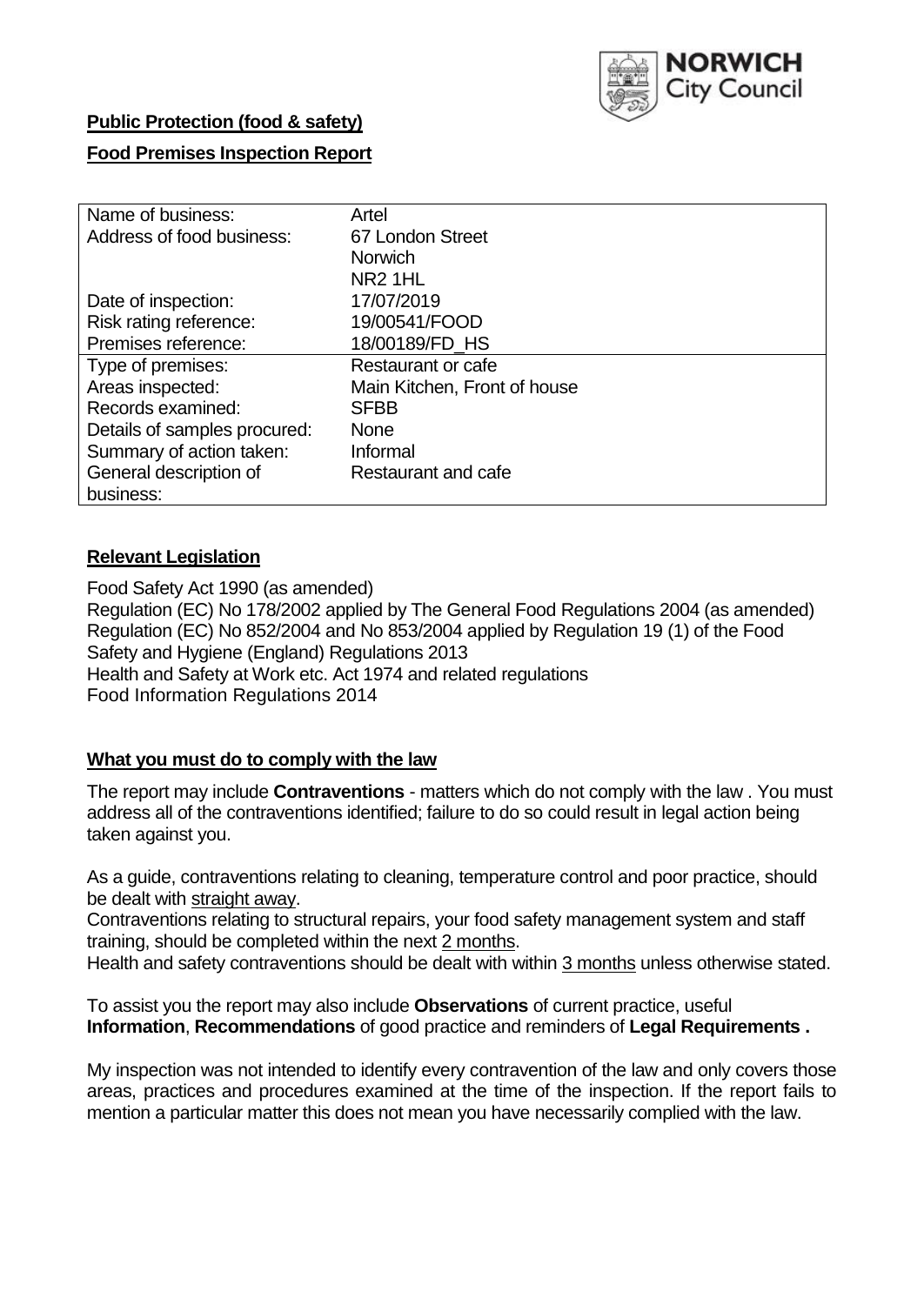

### **Public Protection (food & safety)**

### **Food Premises Inspection Report**

| Name of business:            | Artel                        |
|------------------------------|------------------------------|
| Address of food business:    | 67 London Street             |
|                              | <b>Norwich</b>               |
|                              | NR <sub>2</sub> 1HL          |
| Date of inspection:          | 17/07/2019                   |
| Risk rating reference:       | 19/00541/FOOD                |
| Premises reference:          | 18/00189/FD_HS               |
| Type of premises:            | Restaurant or cafe           |
| Areas inspected:             | Main Kitchen, Front of house |
| Records examined:            | <b>SFBB</b>                  |
| Details of samples procured: | <b>None</b>                  |
| Summary of action taken:     | Informal                     |
| General description of       | Restaurant and cafe          |
| business:                    |                              |

#### **Relevant Legislation**

Food Safety Act 1990 (as amended) Regulation (EC) No 178/2002 applied by The General Food Regulations 2004 (as amended) Regulation (EC) No 852/2004 and No 853/2004 applied by Regulation 19 (1) of the Food Safety and Hygiene (England) Regulations 2013 Health and Safety at Work etc. Act 1974 and related regulations Food Information Regulations 2014

### **What you must do to comply with the law**

The report may include **Contraventions** - matters which do not comply with the law . You must address all of the contraventions identified; failure to do so could result in legal action being taken against you.

As a guide, contraventions relating to cleaning, temperature control and poor practice, should be dealt with straight away.

Contraventions relating to structural repairs, your food safety management system and staff training, should be completed within the next 2 months.

Health and safety contraventions should be dealt with within 3 months unless otherwise stated.

To assist you the report may also include **Observations** of current practice, useful **Information**, **Recommendations** of good practice and reminders of **Legal Requirements .**

My inspection was not intended to identify every contravention of the law and only covers those areas, practices and procedures examined at the time of the inspection. If the report fails to mention a particular matter this does not mean you have necessarily complied with the law.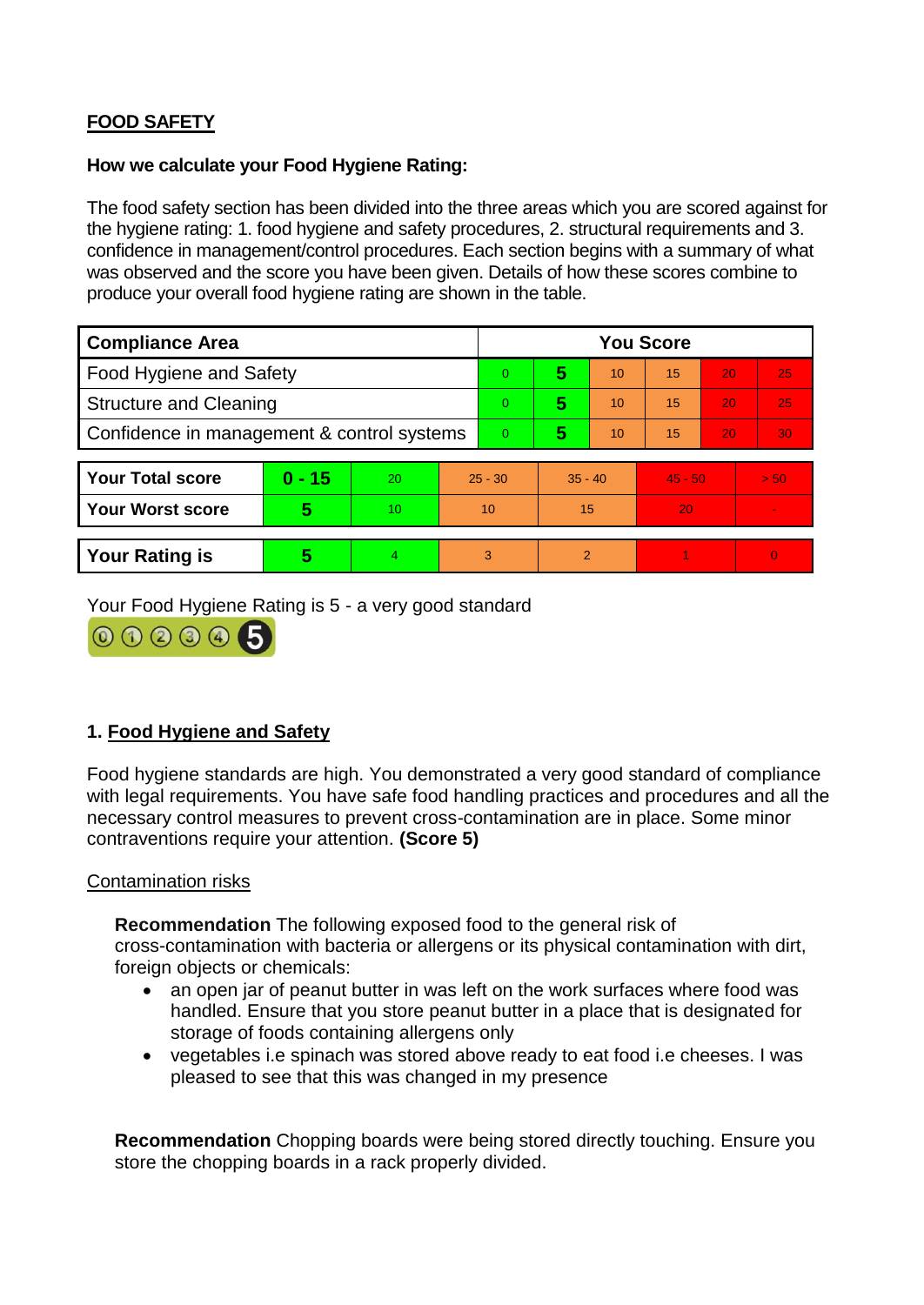# **FOOD SAFETY**

#### **How we calculate your Food Hygiene Rating:**

The food safety section has been divided into the three areas which you are scored against for the hygiene rating: 1. food hygiene and safety procedures, 2. structural requirements and 3. confidence in management/control procedures. Each section begins with a summary of what was observed and the score you have been given. Details of how these scores combine to produce your overall food hygiene rating are shown in the table.

| <b>Compliance Area</b>                     |          |    |          | <b>You Score</b> |                |           |           |    |          |  |  |
|--------------------------------------------|----------|----|----------|------------------|----------------|-----------|-----------|----|----------|--|--|
| Food Hygiene and Safety                    |          |    |          | $\Omega$         | 5              | 10        | 15        | 20 | 25       |  |  |
| <b>Structure and Cleaning</b>              |          |    | $\Omega$ | 5                | 10             | 15        | 20        | 25 |          |  |  |
| Confidence in management & control systems |          |    | $\Omega$ | 5                | 10             | 15        | 20        | 30 |          |  |  |
|                                            |          |    |          |                  |                |           |           |    |          |  |  |
| <b>Your Total score</b>                    | $0 - 15$ | 20 |          | $25 - 30$        |                | $35 - 40$ | $45 - 50$ |    | > 50     |  |  |
| <b>Your Worst score</b>                    | 5        | 10 |          | 10               | 15             |           | 20        |    |          |  |  |
|                                            |          |    |          |                  |                |           |           |    |          |  |  |
| <b>Your Rating is</b>                      | 5        | 4  |          | 3                | $\overline{2}$ |           |           |    | $\Omega$ |  |  |

Your Food Hygiene Rating is 5 - a very good standard



# **1. Food Hygiene and Safety**

Food hygiene standards are high. You demonstrated a very good standard of compliance with legal requirements. You have safe food handling practices and procedures and all the necessary control measures to prevent cross-contamination are in place. Some minor contraventions require your attention. **(Score 5)**

#### Contamination risks

**Recommendation** The following exposed food to the general risk of

cross-contamination with bacteria or allergens or its physical contamination with dirt, foreign objects or chemicals:

- an open jar of peanut butter in was left on the work surfaces where food was handled. Ensure that you store peanut butter in a place that is designated for storage of foods containing allergens only
- vegetables i.e spinach was stored above ready to eat food i.e cheeses. I was pleased to see that this was changed in my presence

**Recommendation** Chopping boards were being stored directly touching. Ensure you store the chopping boards in a rack properly divided.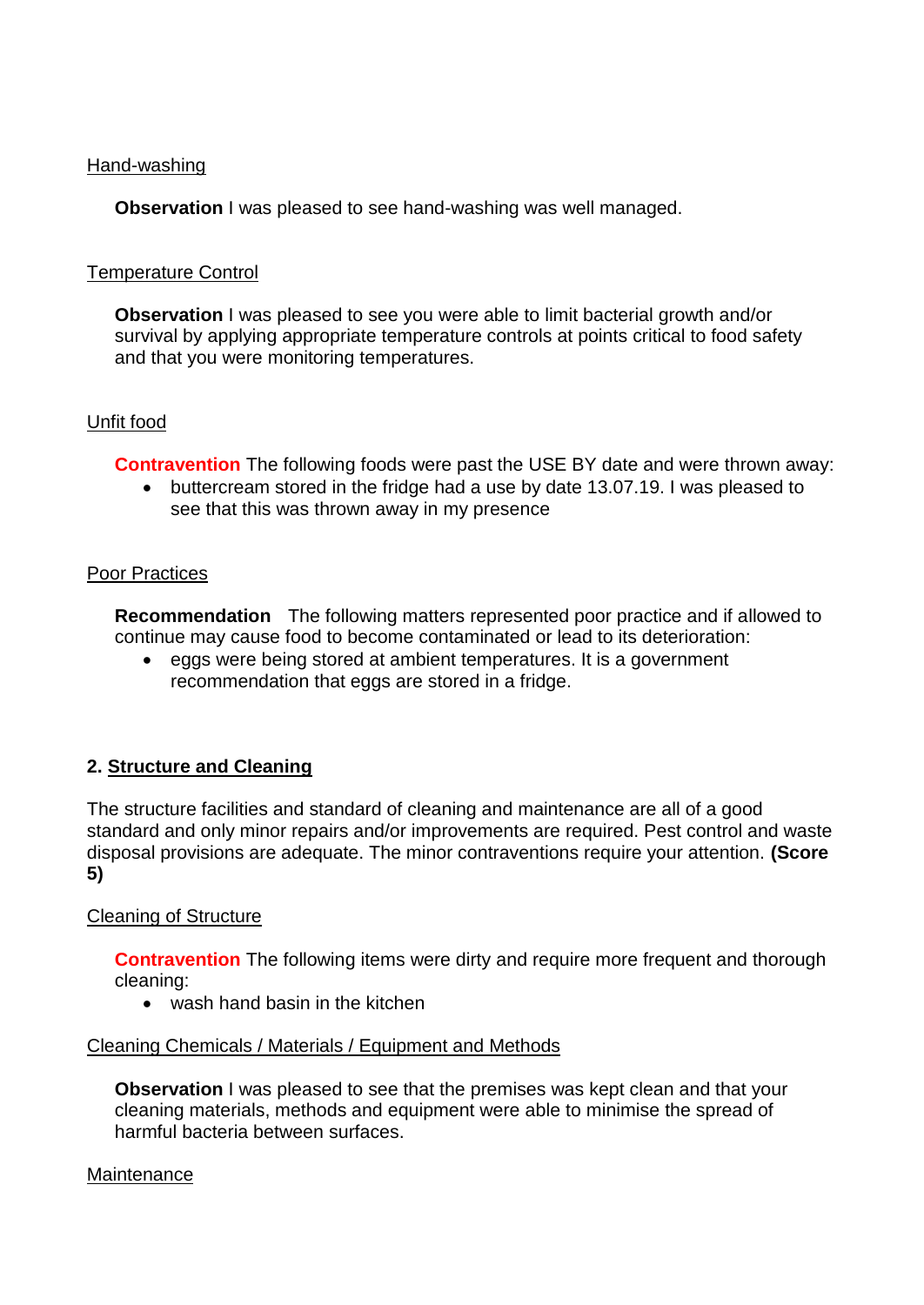#### Hand-washing

**Observation** I was pleased to see hand-washing was well managed.

#### Temperature Control

**Observation** I was pleased to see you were able to limit bacterial growth and/or survival by applying appropriate temperature controls at points critical to food safety and that you were monitoring temperatures.

#### Unfit food

**Contravention** The following foods were past the USE BY date and were thrown away:

 buttercream stored in the fridge had a use by date 13.07.19. I was pleased to see that this was thrown away in my presence

#### Poor Practices

**Recommendation** The following matters represented poor practice and if allowed to continue may cause food to become contaminated or lead to its deterioration:

 eggs were being stored at ambient temperatures. It is a government recommendation that eggs are stored in a fridge.

# **2. Structure and Cleaning**

The structure facilities and standard of cleaning and maintenance are all of a good standard and only minor repairs and/or improvements are required. Pest control and waste disposal provisions are adequate. The minor contraventions require your attention. **(Score 5)**

#### Cleaning of Structure

**Contravention** The following items were dirty and require more frequent and thorough cleaning:

• wash hand basin in the kitchen

#### Cleaning Chemicals / Materials / Equipment and Methods

**Observation** I was pleased to see that the premises was kept clean and that your cleaning materials, methods and equipment were able to minimise the spread of harmful bacteria between surfaces.

#### Maintenance